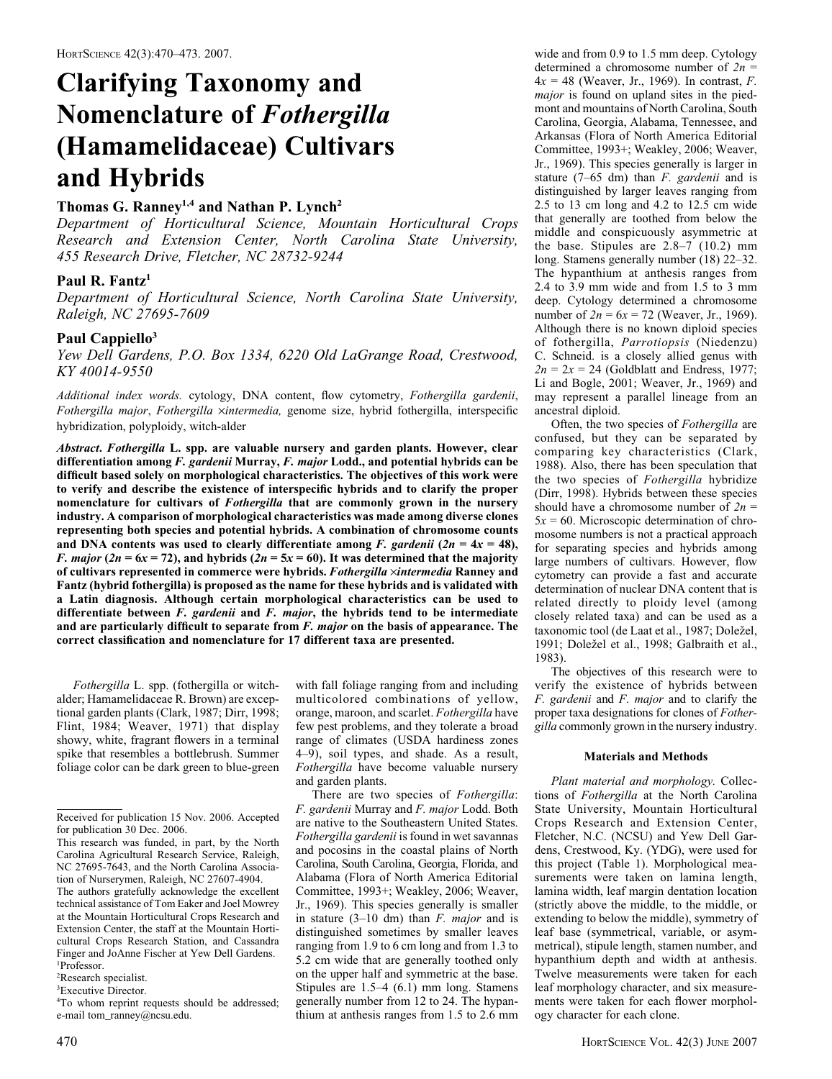# Clarifying Taxonomy and Nomenclature of Fothergilla (Hamamelidaceae) Cultivars and Hybrids

## Thomas G. Ranney<sup>1,4</sup> and Nathan P. Lynch<sup>2</sup>

Department of Horticultural Science, Mountain Horticultural Crops Research and Extension Center, North Carolina State University, 455 Research Drive, Fletcher, NC 28732-9244

## Paul R. Fantz<sup>1</sup>

Department of Horticultural Science, North Carolina State University, Raleigh, NC 27695-7609

## Paul Cappiello<sup>3</sup>

Yew Dell Gardens, P.O. Box 1334, 6220 Old LaGrange Road, Crestwood, KY 40014-9550

Additional index words. cytology, DNA content, flow cytometry, Fothergilla gardenii, Fothergilla major, Fothergilla ×intermedia, genome size, hybrid fothergilla, interspecific hybridization, polyploidy, witch-alder

Abstract. Fothergilla L. spp. are valuable nursery and garden plants. However, clear differentiation among F. gardenii Murray, F. major Lodd., and potential hybrids can be difficult based solely on morphological characteristics. The objectives of this work were to verify and describe the existence of interspecific hybrids and to clarify the proper nomenclature for cultivars of Fothergilla that are commonly grown in the nursery industry. A comparison of morphological characteristics was made among diverse clones representing both species and potential hybrids. A combination of chromosome counts and DNA contents was used to clearly differentiate among F. gardenii (2n =  $4x = 48$ ), *F. major* ( $2n = 6x = 72$ ), and hybrids ( $2n = 5x = 60$ ). It was determined that the majority of cultivars represented in commerce were hybrids. Fothergilla  $\times$ intermedia Ranney and Fantz (hybrid fothergilla) is proposed as the name for these hybrids and is validated with a Latin diagnosis. Although certain morphological characteristics can be used to differentiate between F. gardenii and F. major, the hybrids tend to be intermediate and are particularly difficult to separate from F. major on the basis of appearance. The correct classification and nomenclature for 17 different taxa are presented.

Fothergilla L. spp. (fothergilla or witchalder; Hamamelidaceae R. Brown) are exceptional garden plants (Clark, 1987; Dirr, 1998; Flint, 1984; Weaver, 1971) that display showy, white, fragrant flowers in a terminal spike that resembles a bottlebrush. Summer foliage color can be dark green to blue-green

2 Research specialist.

3 Executive Director.

with fall foliage ranging from and including multicolored combinations of yellow, orange, maroon, and scarlet. Fothergilla have few pest problems, and they tolerate a broad range of climates (USDA hardiness zones 4–9), soil types, and shade. As a result, Fothergilla have become valuable nursery and garden plants.

wide and from 0.9 to 1.5 mm deep. Cytology determined a chromosome number of  $2n =$  $4x = 48$  (Weaver, Jr., 1969). In contrast, F. major is found on upland sites in the piedmont and mountains of North Carolina, South Carolina, Georgia, Alabama, Tennessee, and Arkansas (Flora of North America Editorial Committee, 1993+; Weakley, 2006; Weaver, Jr., 1969). This species generally is larger in stature  $(7-65 \text{ dm})$  than *F. gardenii* and is distinguished by larger leaves ranging from 2.5 to 13 cm long and 4.2 to 12.5 cm wide that generally are toothed from below the middle and conspicuously asymmetric at the base. Stipules are 2.8–7 (10.2) mm long. Stamens generally number (18) 22–32. The hypanthium at anthesis ranges from 2.4 to 3.9 mm wide and from 1.5 to 3 mm deep. Cytology determined a chromosome number of  $2n = 6x = 72$  (Weaver, Jr., 1969). Although there is no known diploid species of fothergilla, Parrotiopsis (Niedenzu) C. Schneid. is a closely allied genus with  $2n = 2x = 24$  (Goldblatt and Endress, 1977; Li and Bogle, 2001; Weaver, Jr., 1969) and may represent a parallel lineage from an ancestral diploid.

Often, the two species of Fothergilla are confused, but they can be separated by comparing key characteristics (Clark, 1988). Also, there has been speculation that the two species of Fothergilla hybridize (Dirr, 1998). Hybrids between these species should have a chromosome number of  $2n =$  $5x = 60$ . Microscopic determination of chromosome numbers is not a practical approach for separating species and hybrids among large numbers of cultivars. However, flow cytometry can provide a fast and accurate determination of nuclear DNA content that is related directly to ploidy level (among closely related taxa) and can be used as a taxonomic tool (de Laat et al., 1987; Doležel, 1991; Doležel et al., 1998; Galbraith et al., 1983).

The objectives of this research were to verify the existence of hybrids between F. gardenii and F. major and to clarify the proper taxa designations for clones of Fothergilla commonly grown in the nursery industry.

#### Materials and Methods

Plant material and morphology. Collections of Fothergilla at the North Carolina State University, Mountain Horticultural Crops Research and Extension Center, Fletcher, N.C. (NCSU) and Yew Dell Gardens, Crestwood, Ky. (YDG), were used for this project (Table 1). Morphological measurements were taken on lamina length, lamina width, leaf margin dentation location (strictly above the middle, to the middle, or extending to below the middle), symmetry of leaf base (symmetrical, variable, or asymmetrical), stipule length, stamen number, and hypanthium depth and width at anthesis. Twelve measurements were taken for each leaf morphology character, and six measurements were taken for each flower morphology character for each clone.

Received for publication 15 Nov. 2006. Accepted for publication 30 Dec. 2006.

This research was funded, in part, by the North Carolina Agricultural Research Service, Raleigh, NC 27695-7643, and the North Carolina Association of Nurserymen, Raleigh, NC 27607-4904. The authors gratefully acknowledge the excellent technical assistance of Tom Eaker and Joel Mowrey at the Mountain Horticultural Crops Research and

Extension Center, the staff at the Mountain Horticultural Crops Research Station, and Cassandra Finger and JoAnne Fischer at Yew Dell Gardens. 1 Professor.

<sup>4</sup> To whom reprint requests should be addressed; e-mail tom\_ranney@ncsu.edu.

There are two species of Fothergilla: F. gardenii Murray and F. major Lodd. Both are native to the Southeastern United States. Fothergilla gardenii is found in wet savannas and pocosins in the coastal plains of North Carolina, South Carolina, Georgia, Florida, and Alabama (Flora of North America Editorial Committee, 1993+; Weakley, 2006; Weaver, Jr., 1969). This species generally is smaller in stature  $(3-10 \text{ dm})$  than *F. major* and is distinguished sometimes by smaller leaves ranging from 1.9 to 6 cm long and from 1.3 to 5.2 cm wide that are generally toothed only on the upper half and symmetric at the base. Stipules are 1.5–4 (6.1) mm long. Stamens generally number from 12 to 24. The hypanthium at anthesis ranges from 1.5 to 2.6 mm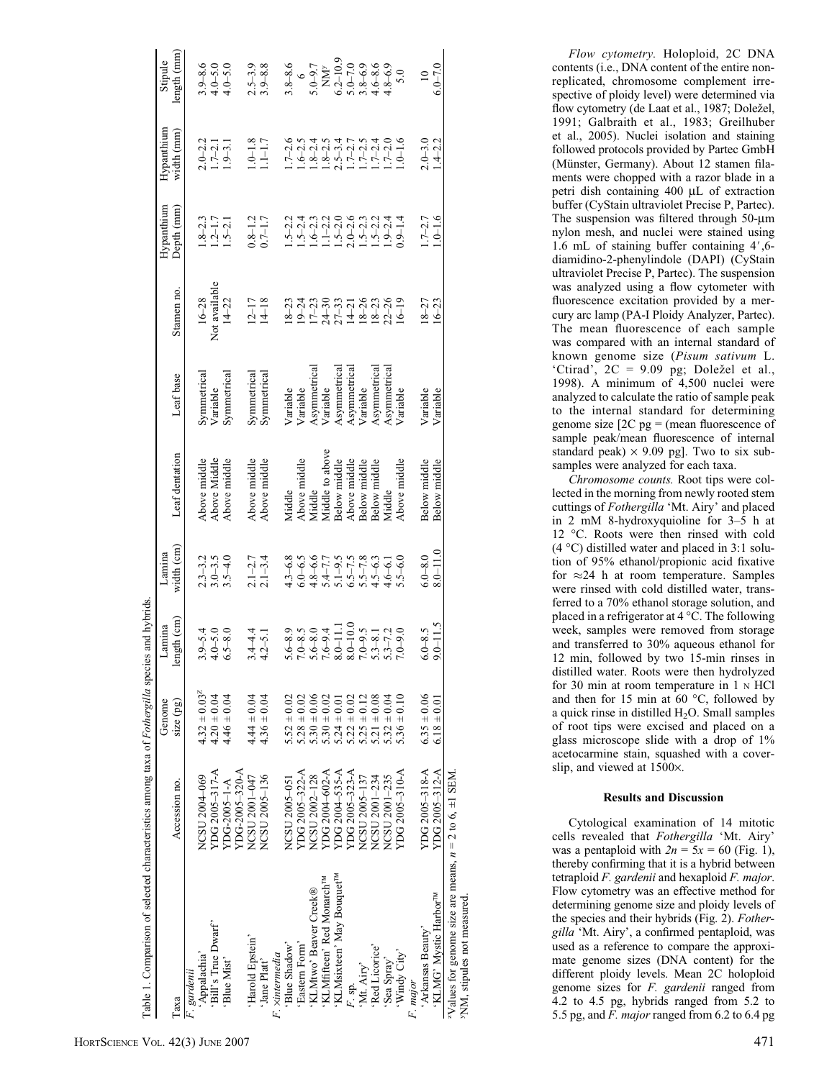| Table 1. Comparison of selected characteristics among taxa of Fothergilla species and hybrids.          |                |                                                                          |                                                   |                                                                                                                                                                                                 |                                        |                          |                                                                                      |                                     |                                                                               |                                                                         |
|---------------------------------------------------------------------------------------------------------|----------------|--------------------------------------------------------------------------|---------------------------------------------------|-------------------------------------------------------------------------------------------------------------------------------------------------------------------------------------------------|----------------------------------------|--------------------------|--------------------------------------------------------------------------------------|-------------------------------------|-------------------------------------------------------------------------------|-------------------------------------------------------------------------|
|                                                                                                         |                | Genome                                                                   | Lamina                                            | Lamina                                                                                                                                                                                          |                                        |                          |                                                                                      | Hypanthium                          | Hypanthium                                                                    | Stipule                                                                 |
| Таха                                                                                                    | Accession no.  | $size$ (pg)                                                              | ength (cm)                                        | width (cm)                                                                                                                                                                                      | Leaf dentation                         | Leaf base                | Stamen no.                                                                           | Depth (mm)                          | width (mm)                                                                    | length (mm                                                              |
| F. gardenii                                                                                             |                |                                                                          |                                                   |                                                                                                                                                                                                 |                                        |                          |                                                                                      |                                     |                                                                               |                                                                         |
| Appalachia'                                                                                             | NCSU 2004-069  | $4.32 \pm 0.03^{2}$                                                      | $3.9 - 5.4$                                       |                                                                                                                                                                                                 | Above middle                           | Symmetrical              | $16 - 28$                                                                            |                                     |                                                                               |                                                                         |
| 'Bill's True Dwarf'                                                                                     | YDG 2005-317-A | $4.20 \pm 0.04$                                                          | $4.0 - 5.0$                                       |                                                                                                                                                                                                 | Above Middle                           | Variable                 | Not available                                                                        |                                     | $2.0 - 2.2$<br>1.7-2.1                                                        | $3.9 - 8.6$<br>4.0-5.0                                                  |
| 'Blue Mist'                                                                                             | YDG-2005-1-A   | $4.46 \pm 0.04$                                                          | $6.5 - 8.0$                                       | $2.3 - 3.2$<br>$3.0 - 3.5$<br>$3.5 - 4.0$                                                                                                                                                       | Above middle                           | Symmetrica               | $14 - 22$                                                                            | $8 - 2.3$<br>$2 - 1.7$<br>$5 - 2.1$ | $1.9 - 3.1$                                                                   | $1.0 - 5.0$                                                             |
|                                                                                                         | YDG-2005-320-A |                                                                          |                                                   |                                                                                                                                                                                                 |                                        |                          |                                                                                      |                                     |                                                                               |                                                                         |
| 'Harold Epstein'                                                                                        | NCSU 2001-047  | $4.44 \pm 0.04$                                                          | $3.4 - 4.4$                                       |                                                                                                                                                                                                 | Above middle                           | Symmetrical              | $12 - 17$                                                                            |                                     | $1.0 - 1.8$                                                                   |                                                                         |
| 'Jane Platt'                                                                                            | NCSU 2005-136  | $4.36 \pm 0.04$                                                          | $4.2 - 5.1$                                       | $2.1 - 2.7$<br>$2.1 - 3.4$                                                                                                                                                                      | Above middle                           | Symmetrica               | $14 - 18$                                                                            | $0.8 - 1.2$<br>0.7-1.7              | $.1 - 1.7$                                                                    | $2.5 - 3.9$<br>$3.9 - 8.8$                                              |
| F. xintermedia                                                                                          |                |                                                                          |                                                   |                                                                                                                                                                                                 |                                        |                          |                                                                                      |                                     |                                                                               |                                                                         |
| 'Blue Shadow'                                                                                           | NCSU 2005-051  | $5.52 \pm 0.02$                                                          | $5.6 - 8.9$                                       |                                                                                                                                                                                                 | Viddle                                 | Variable                 | $8 - 23$                                                                             |                                     |                                                                               | $3.8 - 8.6$                                                             |
| Eastern Form'                                                                                           | YDG 2005-322-A | $5.28 \pm 0.02$                                                          |                                                   |                                                                                                                                                                                                 |                                        | Variable                 |                                                                                      |                                     |                                                                               |                                                                         |
| KLMtwo' Beaver Creek®                                                                                   | NCSU 2002-128  | $5.30 \pm 0.06$<br>$5.30 \pm 0.02$                                       | $7.0-8.5$<br>$5.6-8.0$<br>$7.6-9.4$<br>$8.0-11.1$ | 4.3 - 6.8<br>6.0 - 6.0 - 7.7<br>6.0 - 6.7.7 - 8.7.7<br>6.5 - 7.7.8 - 8.0 - 9.0<br>6.5 - 8.9 - 8.9 - 8.9 - 8.9 - 8.9 - 8.9 - 8.9 - 8.9 - 8.9 - 8.9 - 8.9 - 8.9 - 8.9 - 9.0 - 9.0 - 9.0 - 9.0 - 9 | Above middle<br>Middle                 |                          | $19-24$<br>$17-30$<br>$24-30$<br>$21-31$<br>$14-26$<br>$18-26$<br>$18-26$<br>$16-19$ |                                     | 1.7-2.6<br>1.6-2.3<br>1.8-2.3.4<br>1.8-2.3.4<br>1.7-2.7<br>1.7-2.4<br>1.0-1.6 | $5.0 - 9.7$                                                             |
| 'KLMfifteen' Red Monarch <sup>™</sup>                                                                   | YDG 2004-602-A |                                                                          |                                                   |                                                                                                                                                                                                 | Viiddle to above                       | Asymmetrical<br>Variable |                                                                                      |                                     |                                                                               |                                                                         |
| 'KLMsixteen' May Bouquet <sup>™</sup>                                                                   | YDG 2004-535-A | $5.24 \pm 0.01$                                                          |                                                   |                                                                                                                                                                                                 | Below middle                           | Asymmetrical             |                                                                                      |                                     |                                                                               |                                                                         |
| F. sp.                                                                                                  | YDG 2005-323-A |                                                                          | $8.0 - 10.0$                                      |                                                                                                                                                                                                 | Above middle                           | Asymmetrical             |                                                                                      |                                     |                                                                               |                                                                         |
| 'Mt. Airy'                                                                                              | NCSU 2005-137  |                                                                          | $7.0 - 9.5$                                       |                                                                                                                                                                                                 |                                        | Variable                 |                                                                                      |                                     |                                                                               |                                                                         |
| 'Red Licorice'                                                                                          | NCSU 2001-234  | $5.22 \pm 0.02$<br>$5.25 \pm 0.12$<br>$5.21 \pm 0.08$<br>$5.21 \pm 0.08$ | $5.3 - 8.1$                                       |                                                                                                                                                                                                 | Below middle<br>Below middle<br>Middle | Asymmetrical             |                                                                                      |                                     |                                                                               |                                                                         |
| 'Sea Spray'                                                                                             | NCSU 2001-235  |                                                                          | $5.3 - 7.2$                                       |                                                                                                                                                                                                 |                                        | Asymmetrical             |                                                                                      |                                     |                                                                               |                                                                         |
| 'Windy City'                                                                                            | YDG 2005-310-A | $5.36 \pm 0.10$                                                          | $7.0 - 9.0$                                       |                                                                                                                                                                                                 | Above middle                           | Variable                 |                                                                                      | $.9 - 1.4$                          |                                                                               | NM <sup>y</sup><br>6.2-10.9<br>5.0-7.0<br>5.8-6.9<br>4.8-6.9<br>4.8-6.9 |
| F. major                                                                                                |                |                                                                          |                                                   |                                                                                                                                                                                                 |                                        |                          |                                                                                      |                                     |                                                                               |                                                                         |
| 'Arkansas Beauty'                                                                                       | YDG 2005-318-A | $6.35 \pm 0.06$                                                          | $6.0 - 8.5$                                       | $6.0 - 8.0$                                                                                                                                                                                     | Below middle                           | Variable                 | $18 - 27$                                                                            | $1.7 - 2.7$                         |                                                                               | $\overline{a}$                                                          |
| 'KLMG' Mystic Harbor <sup>™</sup>                                                                       | YDG 2005-312-A | $6.18 \pm 0.01$                                                          | $9.0 - 11.5$                                      | $8.0 - 11.0$                                                                                                                                                                                    | Below middle                           | Variable                 | $16 - 23$                                                                            | $1.0 - 1.6$                         | $2.0 - 3.0$<br>$1.4 - 2.2$                                                    | $6.0 - 7.0$                                                             |
| <sup>2</sup> Values for genome size are means, $n = 2$ to 6, $\pm$ 1 SEM.<br>NM, stipules not measured. |                |                                                                          |                                                   |                                                                                                                                                                                                 |                                        |                          |                                                                                      |                                     |                                                                               |                                                                         |
|                                                                                                         |                |                                                                          |                                                   |                                                                                                                                                                                                 |                                        |                          |                                                                                      |                                     |                                                                               |                                                                         |

Flow cytometry. Holoploid, 2C DNA contents (i.e., DNA content of the entire nonreplicated, chromosome complement irrespective of ploidy level) were determined via flow cytometry (de Laat et al., 1987; Doležel, 1991; Galbraith et al., 1983; Greilhuber et al., 2005). Nuclei isolation and staining followed protocols provided by Partec GmbH (Münster, Germany). About 12 stamen filaments were chopped with a razor blade in a petri dish containing 400 µL of extraction buffer (CyStain ultraviolet Precise P, Partec). The suspension was filtered through 50-µm nylon mesh, and nuclei were stained using 1.6 mL of staining buffer containing  $4^{\prime}$ ,6diamidino-2-phenylindole (DAPI) (CyStain ultraviolet Precise P, Partec). The suspension was analyzed using a flow cytometer with fluorescence excitation provided by a mercury arc lamp (PA-I Ploidy Analyzer, Partec). The mean fluorescence of each sample was compared with an internal standard of known genome size (Pisum sativum L. 'Ctirad',  $2C = 9.09$  pg; Doležel et al., 1998). A minimum of 4,500 nuclei were analyzed to calculate the ratio of sample peak to the internal standard for determining genome size  $[2C$  pg = (mean fluorescence of sample peak/mean fluorescence of internal standard peak)  $\times$  9.09 pg]. Two to six subsamples were analyzed for each taxa.

Chromosome counts. Root tips were collected in the morning from newly rooted stem cuttings of Fothergilla 'Mt. Airy' and placed in 2 mM 8-hydroxyquioline for 3–5 h at 12 °C. Roots were then rinsed with cold  $(4 °C)$  distilled water and placed in 3:1 solution of 95% ethanol/propionic acid fixative for  $\approx$  24 h at room temperature. Samples were rinsed with cold distilled water, transferred to a 70% ethanol storage solution, and placed in a refrigerator at  $4^{\circ}$ C. The following week, samples were removed from storage and transferred to 30% aqueous ethanol for 12 min, followed by two 15-min rinses in distilled water. Roots were then hydrolyzed for 30 min at room temperature in 1 <sup>N</sup> HCl and then for 15 min at 60 $\degree$ C, followed by a quick rinse in distilled H 2O. Small samples of root tips were excised and placed on a glass microscope slide with a drop of 1% acetocarmine stain, squashed with a coverslip, and viewed at  $1500\times$ .

### Results and Discussion

Cytological examination of 14 mitotic cells revealed that Fothergilla 'Mt. Airy' was a pentaploid with  $2n = 5x = 60$  (Fig. 1), thereby confirming that it is a hybrid between tetraploid F. gardenii and hexaploid F. major. Flow cytometry was an effective method for determining genome size and ploidy levels of the species and their hybrids (Fig. 2). Fothergilla 'Mt. Airy', a confirmed pentaploid, was used as a reference to compare the approximate genome sizes (DNA content) for the different ploidy levels. Mean 2C holoploid genome sizes for F. gardenii ranged from 4.2 to 4.5 pg, hybrids ranged from 5.2 to 5.5 pg, and F. major ranged from 6.2 to 6.4 pg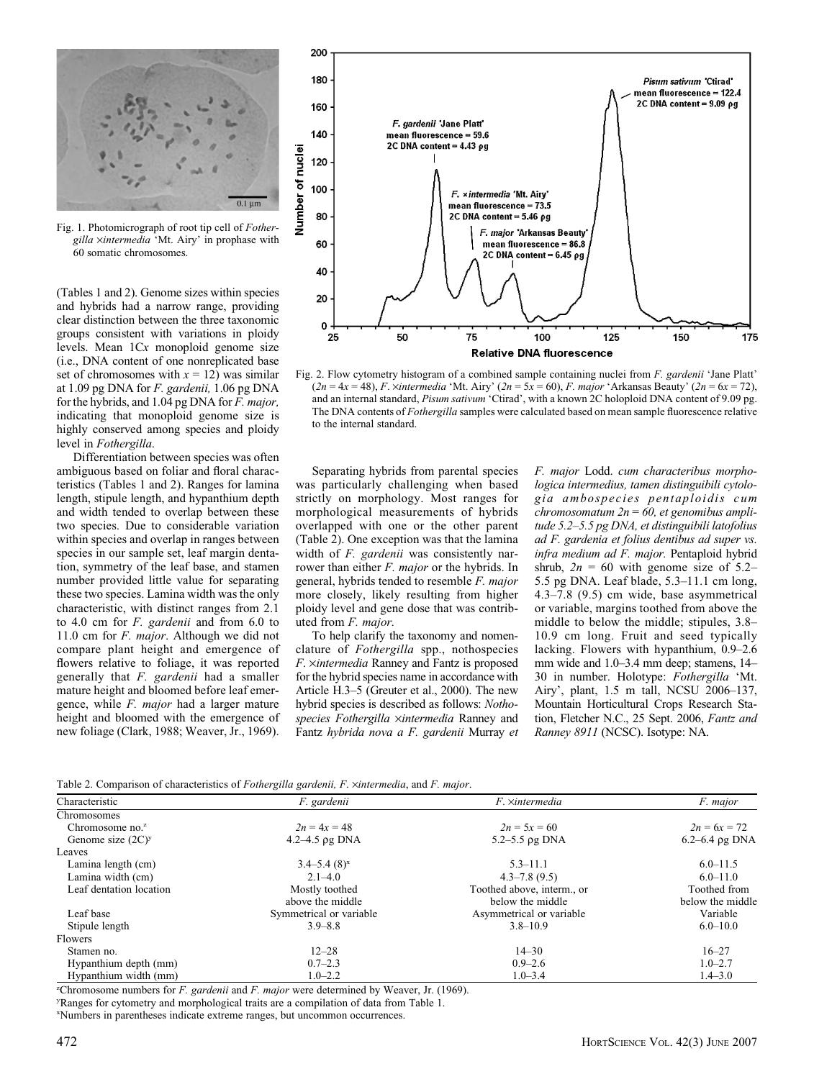

Fig. 1. Photomicrograph of root tip cell of Fothergilla xintermedia 'Mt. Airy' in prophase with 60 somatic chromosomes.

(Tables 1 and 2). Genome sizes within species and hybrids had a narrow range, providing clear distinction between the three taxonomic groups consistent with variations in ploidy levels. Mean 1Cx monoploid genome size (i.e., DNA content of one nonreplicated base set of chromosomes with  $x = 12$ ) was similar at 1.09 pg DNA for F. gardenii, 1.06 pg DNA for the hybrids, and 1.04 pg DNA for F. major, indicating that monoploid genome size is highly conserved among species and ploidy level in Fothergilla.

Differentiation between species was often ambiguous based on foliar and floral characteristics (Tables 1 and 2). Ranges for lamina length, stipule length, and hypanthium depth and width tended to overlap between these two species. Due to considerable variation within species and overlap in ranges between species in our sample set, leaf margin dentation, symmetry of the leaf base, and stamen number provided little value for separating these two species. Lamina width was the only characteristic, with distinct ranges from 2.1 to 4.0 cm for F. gardenii and from 6.0 to 11.0 cm for *F. major*. Although we did not compare plant height and emergence of flowers relative to foliage, it was reported generally that F. gardenii had a smaller mature height and bloomed before leaf emergence, while F. major had a larger mature height and bloomed with the emergence of new foliage (Clark, 1988; Weaver, Jr., 1969).



Fig. 2. Flow cytometry histogram of a combined sample containing nuclei from F. gardenii 'Jane Platt'  $(2n = 4x = 48)$ , F. ×intermedia 'Mt. Airy'  $(2n = 5x = 60)$ , F. major 'Arkansas Beauty'  $(2n = 6x = 72)$ , and an internal standard, Pisum sativum 'Ctirad', with a known 2C holoploid DNA content of 9.09 pg. The DNA contents of Fothergilla samples were calculated based on mean sample fluorescence relative to the internal standard.

Separating hybrids from parental species was particularly challenging when based strictly on morphology. Most ranges for morphological measurements of hybrids overlapped with one or the other parent (Table 2). One exception was that the lamina width of F. gardenii was consistently narrower than either F. major or the hybrids. In general, hybrids tended to resemble F. major more closely, likely resulting from higher ploidy level and gene dose that was contributed from F. major.

To help clarify the taxonomy and nomenclature of Fothergilla spp., nothospecies F. xintermedia Ranney and Fantz is proposed for the hybrid species name in accordance with Article H.3–5 (Greuter et al., 2000). The new hybrid species is described as follows: Nothospecies Fothergilla ×intermedia Ranney and Fantz hybrida nova a F. gardenii Murray et

F. major Lodd. cum characteribus morphologica intermedius, tamen distinguibili cytologia ambospecies pentaploidis cum chromosomatum  $2n = 60$ , et genomibus amplitude 5.2–5.5 pg DNA, et distinguibili latofolius ad F. gardenia et folius dentibus ad super vs. infra medium ad F. major. Pentaploid hybrid shrub,  $2n = 60$  with genome size of 5.2– 5.5 pg DNA. Leaf blade, 5.3–11.1 cm long, 4.3–7.8 (9.5) cm wide, base asymmetrical or variable, margins toothed from above the middle to below the middle; stipules, 3.8– 10.9 cm long. Fruit and seed typically lacking. Flowers with hypanthium, 0.9–2.6 mm wide and 1.0–3.4 mm deep; stamens, 14– 30 in number. Holotype: Fothergilla 'Mt. Airy', plant, 1.5 m tall, NCSU 2006–137, Mountain Horticultural Crops Research Station, Fletcher N.C., 25 Sept. 2006, Fantz and Ranney 8911 (NCSC). Isotype: NA.

Table 2. Comparison of characteristics of Fothergilla gardenii, F. ·intermedia, and F. major.

|                         | Table 2. Comparison of characteristics of Pomergina garagini, P. Amiermeana, and P. major. |                            |                    |
|-------------------------|--------------------------------------------------------------------------------------------|----------------------------|--------------------|
| Characteristic          | F. gardenii                                                                                | F. ×intermedia             | F. major           |
| Chromosomes             |                                                                                            |                            |                    |
| Chromosome no. $z$      | $2n = 4x = 48$                                                                             | $2n = 5x = 60$             | $2n = 6x = 72$     |
| Genome size $(2C)^y$    | 4.2–4.5 $\rho$ g DNA                                                                       | 5.2–5.5 $\rho$ g DNA       | $6.2 - 6.4$ pg DNA |
| Leaves                  |                                                                                            |                            |                    |
| Lamina length (cm)      | $3.4 - 5.4(8)^{x}$                                                                         | $5.3 - 11.1$               | $6.0 - 11.5$       |
| Lamina width (cm)       | $2.1 - 4.0$                                                                                | $4.3 - 7.8(9.5)$           | $6.0 - 11.0$       |
| Leaf dentation location | Mostly toothed                                                                             | Toothed above, interm., or | Toothed from       |
|                         | above the middle                                                                           | below the middle           | below the middle   |
| Leaf base               | Symmetrical or variable                                                                    | Asymmetrical or variable   | Variable           |
| Stipule length          | $3.9 - 8.8$                                                                                | $3.8 - 10.9$               | $6.0 - 10.0$       |
| Flowers                 |                                                                                            |                            |                    |
| Stamen no.              | $12 - 28$                                                                                  | $14 - 30$                  | $16 - 27$          |
| Hypanthium depth (mm)   | $0.7 - 2.3$                                                                                | $0.9 - 2.6$                | $1.0 - 2.7$        |
| Hypanthium width (mm)   | $1.0 - 2.2$                                                                                | $1.0 - 3.4$                | $1.4 - 3.0$        |

<sup>2</sup>Chromosome numbers for  $F$ . gardenii and  $F$ . major were determined by Weaver, Jr. (1969).

y Ranges for cytometry and morphological traits are a compilation of data from Table 1.

x Numbers in parentheses indicate extreme ranges, but uncommon occurrences.